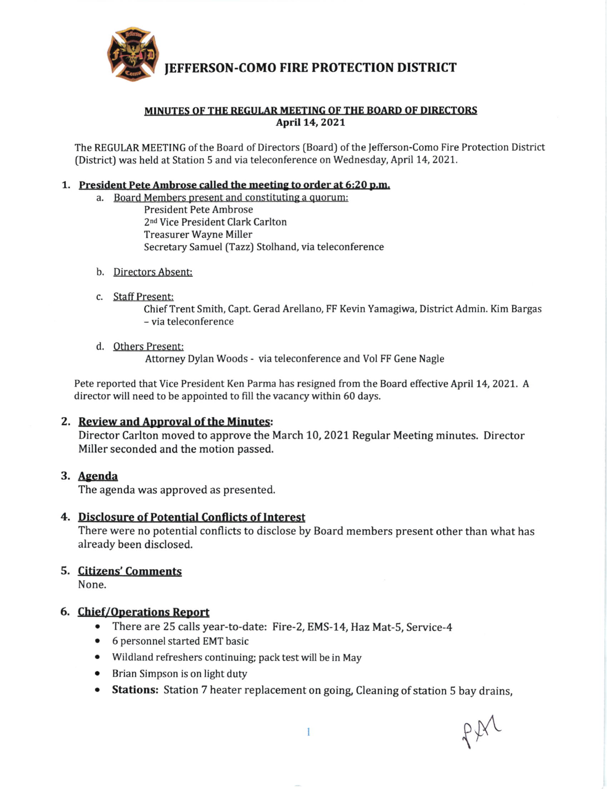

IEFFERSON-COMO FIRE PROTECTION DISTRICT

### MINUTES OF THE REGULAR MEETING OF THE BOARD OF DIRECTORS April 14, 2021

The REGULAR MEETING of the Board of Directors (Board) of the Jefferson-Como Fire Protection District (District) was held at Station 5 and via teleconference on Wednesday, April 14,2027.

### 1. President Pete Ambrose called the meeting to order at 6:20 p.m.

- a. Board Members present and constituting a quorum: President Pete Ambrose 2nd Vice President Clark Carlton Treasurer Wayne Miller Secretary Samuel (Tazz) Stolhand, via teleconference
- b. Directors Absent:
- c. Staff Present:

ChiefTrent Smith, Capu Gerad Arellano, FF Kevin Yamagiwa, District Admin. Kim Bargas - via teleconference

d. Others Present:

Attorney Dylan Woods - via teleconference and Vol FF Gene Nagle

Pete reported that Vice President Ken Parma has resigned from the Board effective April 14, 2021. A director will need to be appointed to fill the vacancy within 60 days.

### 2. Review and Approval of the Minutes:

Director Carlton moved to approve the March 10, 2021 Regular Meeting minutes. Director Miller seconded and the motion passed.

### 3, Agenda

The agenda was approved as presented.

### 4. Disclosure of Potential Conflicts of Interest

There were no potential conflicts to disclose by Board members present other than what has already been disclosed.

## 5. Citizens' Comments

None.

## 6. Chief/Operations Report

- o There are 25 calls year-to-date: Fire-2, EMS-14, Haz Mat-S, Service-4
- . 6 personnel started EMT basic
- o Wildland refreshers continuing; pack test will be in May
- . Brian Simpson is on light duty
- Stations: Station 7 heater replacement on going, Cleaning of station 5 bay drains,

p\$&  $\lambda$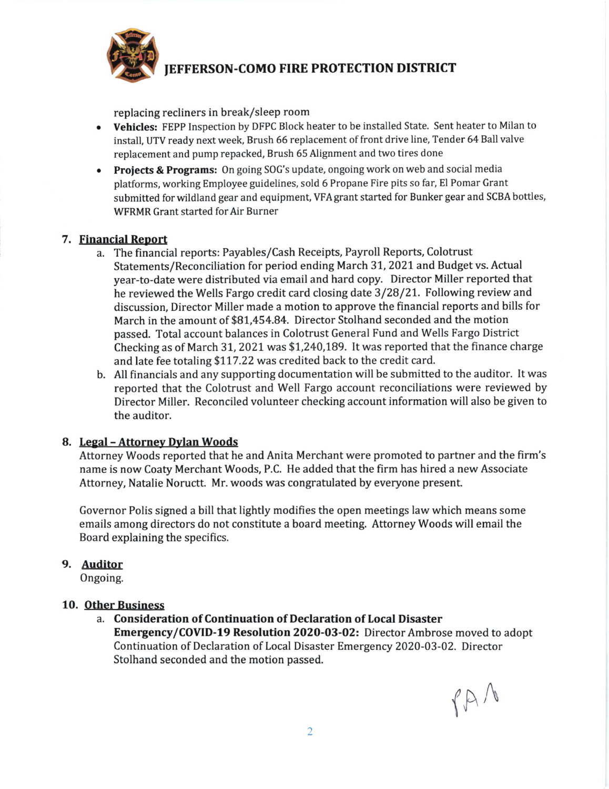

## IEFFERSON-COMO FIRE PROTECTION DISTRICT

replacing recliners in break/sleep room

- Vehicles: FEPP Inspection by DFPC Block heater to be installed State. Sent heater to Milan to install, UTV ready next week, Brush 66 replacement of front drive line, Tender 64 Ball valve replacement and pump repacked, Brush 65 Alignment and two tires done
- Projects & Programs: On going SOG's update, ongoing work on web and social media platforms, working Employee guidelines, sold 6 Propane Fire pits so far, EI Pomar Grant submitted for wildland gear and equipment, VFA grant started for Bunker gear and SCBA bottles, WFRMR Grant started for Air Burner

### 7. Financial Report

- a. The financial reports: Payables/Cash Receipts, Payroll Reports, Colotrust Statements/Reconciliation for period ending March 31, 2021 and Budget vs. Actual year-to-date were distributed via email and hard copy. Director Miller reported that he reviewed the Wells Fargo credit card closing date 3/28/2L Following review and discussion, Director Miller made a motion to approve the financial reports and bills for March in the amount of \$81,454.84. Director Stolhand seconded and the motion passed. Total account balances in Colotrust General Fund and Wells Fargo District Checking as of March 31, 2021 was  $$1,240,189$ . It was reported that the finance charge and late fee totaling \$117.22 was credited back to the credit card.
- b. All financials and any supporting documentation will be submitted to the auditor. lt was reported that the Colotrust and Well Fargo account reconciliations were reviewed by Director Miller. Reconciled volunteer checking account information will also be given to the auditor.

### B. Legal - Attornev Dylan Woods

Attorney Woods reported that he and Anita Merchant were promoted to partner and the firm's name is now Coaty Merchant Woods, P.C. He added that the firm has hired a new Associate Attorney, Natalie Noructt. Mr. woods was congratulated by everyone present.

Governor Polis signed a bill that lightly modifies the open meetings law which means some emails among directors do not constitute a board meeting. Attorney Woods will email the Board explaining the specifics.

## 9. Auditor

Ongoing.

### 10. Other Business

a. Consideration of Continuation of Declaration of Local Disaster Emergency/CoVlD-l9 Resolution 2020-03-02: Director Ambrose moved to adopt Continuation of Declaration of Local Disaster Emergency 2020-03-02. Director Stolhand seconded and the motion passed.

 $fA$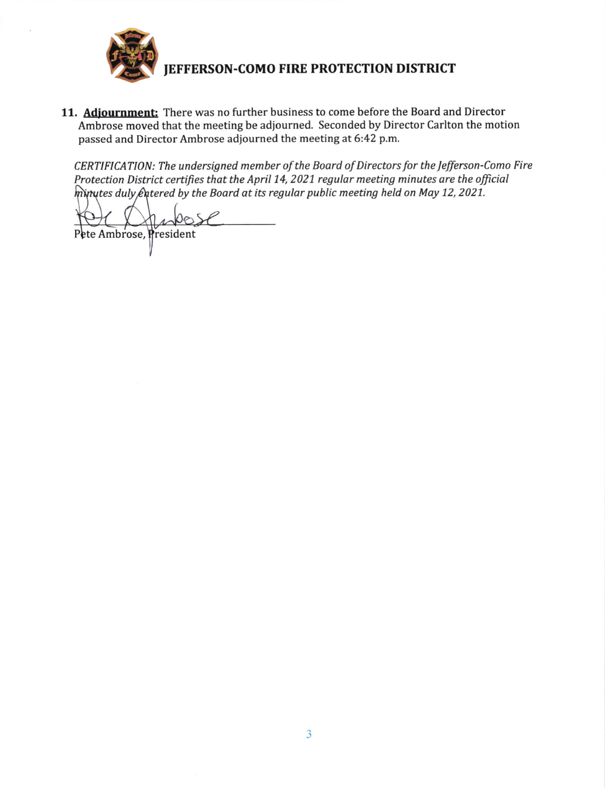

# **JEFFERSON-COMO FIRE PROTECTION DISTRICT**

11. Adjournment: There was no further business to come before the Board and Director Ambrose moved that the meeting be adjourned. Seconded by Director Carlton the motion passed and Director Ambrose adjourned the meeting at 6:42 p.m.

CERTIFICATION: The undersigned member of the Board of Directors for the Jefferson-Como Fire Protection District certifies that the April 14, 2021 regular meeting minutes are the official  $\hat{m}$ inutes duly  $\hat{\ell}$ utered by the Board at its regular public meeting held on May 12, 2021.

Pete Ambrose, President